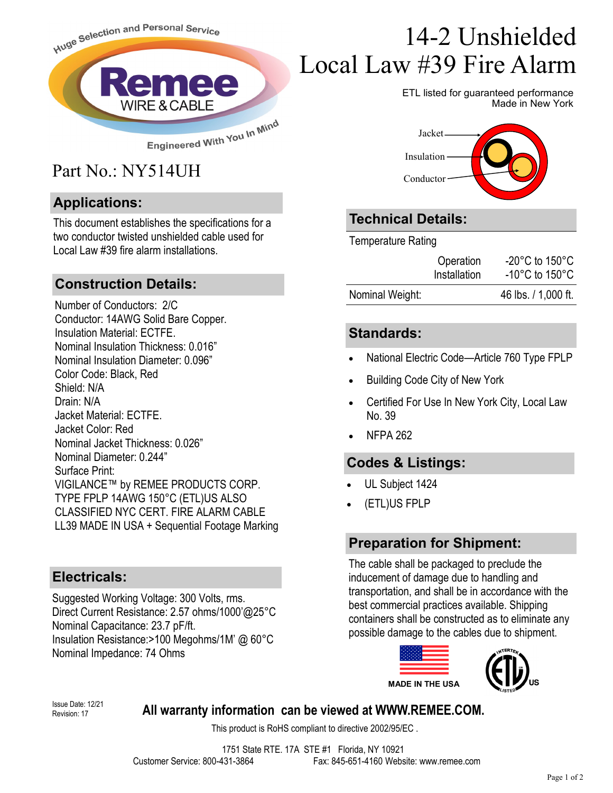

## Part No.: NY514UH

#### **Applications:**

This document establishes the specifications for a two conductor twisted unshielded cable used for Local Law #39 fire alarm installations.

#### **Construction Details:**

Number of Conductors: 2/C Conductor: 14AWG Solid Bare Copper. Insulation Material: ECTFE. Nominal Insulation Thickness: 0.016" Nominal Insulation Diameter: 0.096" Color Code: Black, Red Shield: N/A Drain: N/A Jacket Material: ECTFF Jacket Color: Red Nominal Jacket Thickness: 0.026" Nominal Diameter: 0.244" Surface Print: VIGILANCE™ by REMEE PRODUCTS CORP. TYPE FPLP 14AWG 150°C (ETL)US ALSO CLASSIFIED NYC CERT. FIRE ALARM CABLE LL39 MADE IN USA + Sequential Footage Marking

#### **Electricals:**

Suggested Working Voltage: 300 Volts, rms. Direct Current Resistance: 2.57 ohms/1000'@25°C Nominal Capacitance: 23.7 pF/ft. Insulation Resistance:>100 Megohms/1M' @ 60°C Nominal Impedance: 74 Ohms

# 14-2 Unshielded Local Law #39 Fire Alarm

ETL listed for guaranteed performance Made in New York



## **Technical Details:**

Temperature Rating

|                 | Operation<br>Installation | $-20^{\circ}$ C to 150 $^{\circ}$ C<br>-10 $^{\circ}$ C to 150 $^{\circ}$ C |
|-----------------|---------------------------|-----------------------------------------------------------------------------|
| Nominal Weight: |                           | 46 lbs. / 1,000 ft.                                                         |

#### **Standards:**

- National Electric Code—Article 760 Type FPLP
- Building Code City of New York
- Certified For Use In New York City, Local Law No. 39
- NFPA 262

### **Codes & Listings:**

- UL Subject 1424
- (ETL)US FPLP

### **Preparation for Shipment:**

The cable shall be packaged to preclude the inducement of damage due to handling and transportation, and shall be in accordance with the best commercial practices available. Shipping containers shall be constructed as to eliminate any possible damage to the cables due to shipment.



Revision: 17

#### **Issue Date: 12/21 All warranty information can be viewed at WWW.REMEE.COM.**

This product is RoHS compliant to directive 2002/95/EC .